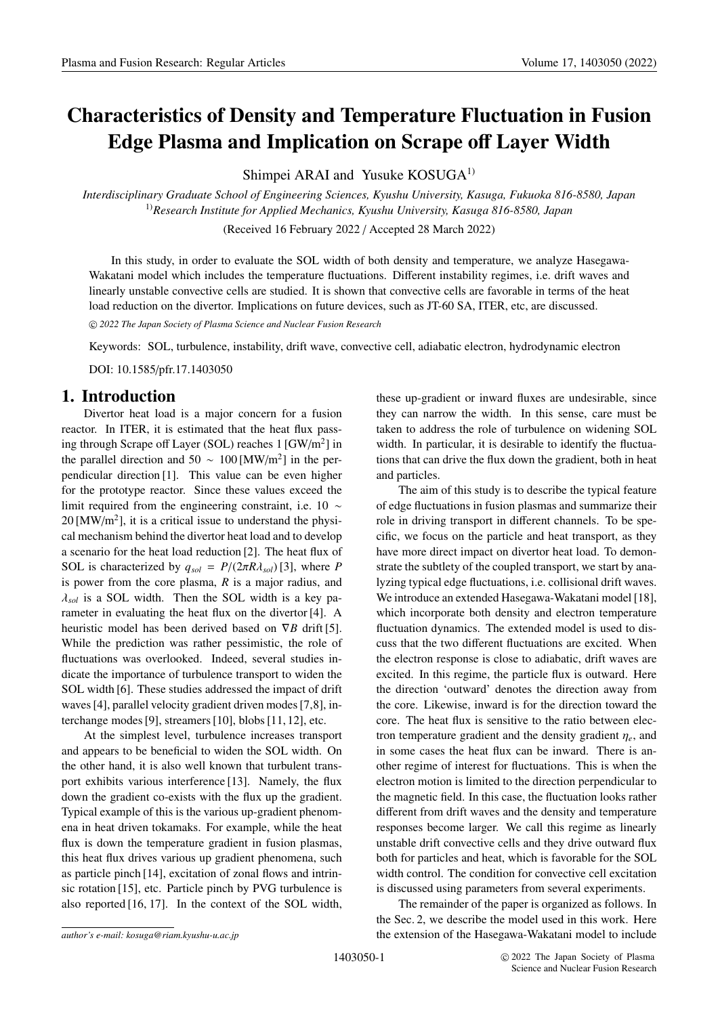# **Characteristics of Density and Temperature Fluctuation in Fusion Edge Plasma and Implication on Scrape o**ff **Layer Width**

Shimpei ARAI and Yusuke KOSUGA<sup>1)</sup>

*Interdisciplinary Graduate School of Engineering Sciences, Kyushu University, Kasuga, Fukuoka 816-8580, Japan* 1)*Research Institute for Applied Mechanics, Kyushu University, Kasuga 816-8580, Japan*

(Received 16 February 2022 / Accepted 28 March 2022)

In this study, in order to evaluate the SOL width of both density and temperature, we analyze Hasegawa-Wakatani model which includes the temperature fluctuations. Different instability regimes, i.e. drift waves and linearly unstable convective cells are studied. It is shown that convective cells are favorable in terms of the heat load reduction on the divertor. Implications on future devices, such as JT-60 SA, ITER, etc, are discussed.

-c *2022 The Japan Society of Plasma Science and Nuclear Fusion Research*

Keywords: SOL, turbulence, instability, drift wave, convective cell, adiabatic electron, hydrodynamic electron

DOI: 10.1585/pfr.17.1403050

# **1. Introduction**

Divertor heat load is a major concern for a fusion reactor. In ITER, it is estimated that the heat flux passing through Scrape off Layer (SOL) reaches  $1 \text{ [GW/m}^2 \text{]}$  in the parallel direction and 50  $\sim 100$  [MW/m<sup>2</sup>] in the perpendicular direction [1]. This value can be even higher for the prototype reactor. Since these values exceed the limit required from the engineering constraint, i.e. 10 ∼  $20 \, [\text{MW/m}^2]$ , it is a critical issue to understand the physical mechanism behind the divertor heat load and to develop a scenario for the heat load reduction [2]. The heat flux of SOL is characterized by  $q_{sol} = P/(2\pi R\lambda_{sol})$  [3], where *P* is power from the core plasma, *R* is a major radius, and  $\lambda_{sol}$  is a SOL width. Then the SOL width is a key parameter in evaluating the heat flux on the divertor [4]. A heuristic model has been derived based on ∇*B* drift [5]. While the prediction was rather pessimistic, the role of fluctuations was overlooked. Indeed, several studies indicate the importance of turbulence transport to widen the SOL width [6]. These studies addressed the impact of drift waves [4], parallel velocity gradient driven modes [7,8], interchange modes [9], streamers [10], blobs [11, 12], etc.

At the simplest level, turbulence increases transport and appears to be beneficial to widen the SOL width. On the other hand, it is also well known that turbulent transport exhibits various interference [13]. Namely, the flux down the gradient co-exists with the flux up the gradient. Typical example of this is the various up-gradient phenomena in heat driven tokamaks. For example, while the heat flux is down the temperature gradient in fusion plasmas, this heat flux drives various up gradient phenomena, such as particle pinch [14], excitation of zonal flows and intrinsic rotation [15], etc. Particle pinch by PVG turbulence is also reported [16, 17]. In the context of the SOL width, these up-gradient or inward fluxes are undesirable, since they can narrow the width. In this sense, care must be taken to address the role of turbulence on widening SOL width. In particular, it is desirable to identify the fluctuations that can drive the flux down the gradient, both in heat and particles.

The aim of this study is to describe the typical feature of edge fluctuations in fusion plasmas and summarize their role in driving transport in different channels. To be specific, we focus on the particle and heat transport, as they have more direct impact on divertor heat load. To demonstrate the subtlety of the coupled transport, we start by analyzing typical edge fluctuations, i.e. collisional drift waves. We introduce an extended Hasegawa-Wakatani model [18], which incorporate both density and electron temperature fluctuation dynamics. The extended model is used to discuss that the two different fluctuations are excited. When the electron response is close to adiabatic, drift waves are excited. In this regime, the particle flux is outward. Here the direction 'outward' denotes the direction away from the core. Likewise, inward is for the direction toward the core. The heat flux is sensitive to the ratio between electron temperature gradient and the density gradient η*<sup>e</sup>*, and in some cases the heat flux can be inward. There is another regime of interest for fluctuations. This is when the electron motion is limited to the direction perpendicular to the magnetic field. In this case, the fluctuation looks rather different from drift waves and the density and temperature responses become larger. We call this regime as linearly unstable drift convective cells and they drive outward flux both for particles and heat, which is favorable for the SOL width control. The condition for convective cell excitation is discussed using parameters from several experiments.

The remainder of the paper is organized as follows. In the Sec. 2, we describe the model used in this work. Here the extension of the Hasegawa-Wakatani model to include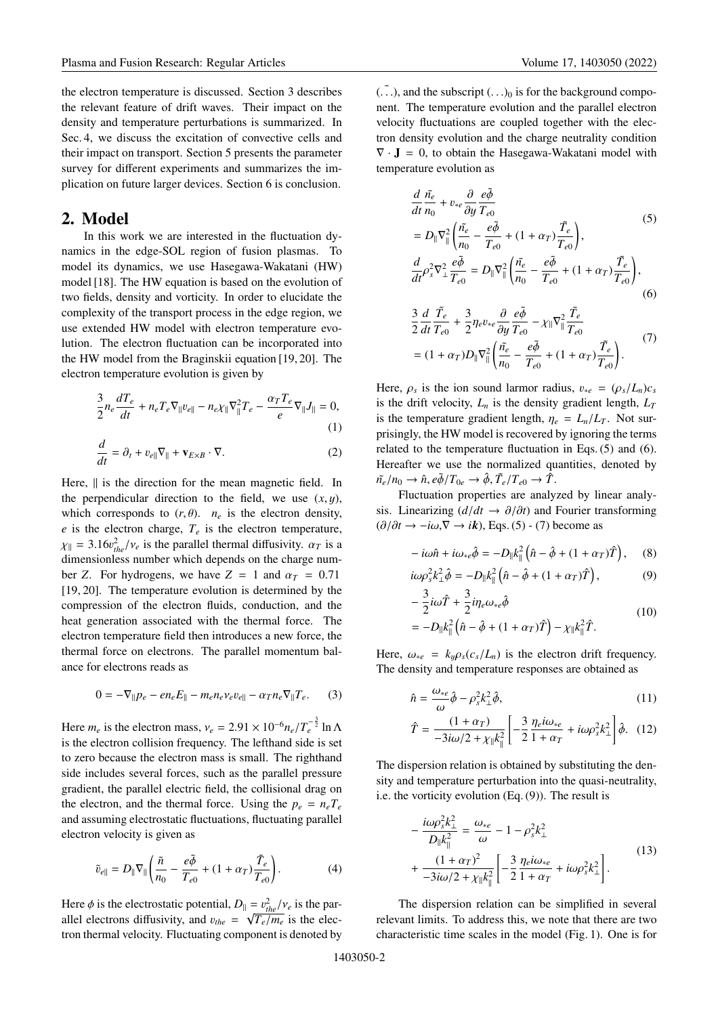the electron temperature is discussed. Section 3 describes the relevant feature of drift waves. Their impact on the density and temperature perturbations is summarized. In Sec. 4, we discuss the excitation of convective cells and their impact on transport. Section 5 presents the parameter survey for different experiments and summarizes the implication on future larger devices. Section 6 is conclusion.

## **2. Model**

In this work we are interested in the fluctuation dynamics in the edge-SOL region of fusion plasmas. To model its dynamics, we use Hasegawa-Wakatani (HW) model [18]. The HW equation is based on the evolution of two fields, density and vorticity. In order to elucidate the complexity of the transport process in the edge region, we use extended HW model with electron temperature evolution. The electron fluctuation can be incorporated into the HW model from the Braginskii equation [19, 20]. The electron temperature evolution is given by

$$
\frac{3}{2}n_e \frac{dT_e}{dt} + n_e T_e \nabla_{\parallel} v_{e\parallel} - n_e \chi_{\parallel} \nabla_{\parallel}^2 T_e - \frac{\alpha_T T_e}{e} \nabla_{\parallel} J_{\parallel} = 0,
$$
\n(1)

$$
\frac{d}{dt} = \partial_t + v_{e\parallel} \nabla_{\parallel} + \mathbf{v}_{E \times B} \cdot \nabla.
$$
 (2)

Here,  $\parallel$  is the direction for the mean magnetic field. In the perpendicular direction to the field, we use  $(x, y)$ , which corresponds to  $(r, \theta)$ .  $n_e$  is the electron density,  $e$  is the electron charge,  $T_e$  is the electron temperature,  $\chi_{\parallel} = 3.16v_{the}^2/v_e$  is the parallel thermal diffusivity.  $\alpha_T$  is a dimensionless number which depends on the charge num dimensionless number which depends on the charge number *Z*. For hydrogens, we have  $Z = 1$  and  $\alpha_T = 0.71$ [19, 20]. The temperature evolution is determined by the compression of the electron fluids, conduction, and the heat generation associated with the thermal force. The electron temperature field then introduces a new force, the thermal force on electrons. The parallel momentum balance for electrons reads as

$$
0 = -\nabla_{\|} p_e - en_e E_{\|} - m_e n_e v_e v_{e\|} - \alpha_T n_e \nabla_{\|} T_e. \tag{3}
$$

Here  $m_e$  is the electron mass,  $v_e = 2.91 \times 10^{-6} n_e / T_e^{-\frac{3}{2}} \ln \Lambda$ <br>is the electron collision frequency. The lefthand side is set is the electron collision frequency. The lefthand side is set to zero because the electron mass is small. The righthand side includes several forces, such as the parallel pressure gradient, the parallel electric field, the collisional drag on the electron, and the thermal force. Using the  $p_e = n_e T_e$ and assuming electrostatic fluctuations, fluctuating parallel electron velocity is given as

$$
\tilde{v}_{e\parallel} = D_{\parallel} \nabla_{\parallel} \left( \frac{\tilde{n}}{n_0} - \frac{e\tilde{\phi}}{T_{e0}} + (1 + \alpha_T) \frac{\tilde{T}_e}{T_{e0}} \right). \tag{4}
$$

Here  $\phi$  is the electrostatic potential,  $D_{\parallel} = v_{the}^2/v_e$  is the par-<br>allel electrons diffusivity, and  $v_e = \lambda \sqrt{T/m}$  is the elecallel electrons diffusivity, and  $v_{the} = \sqrt{\frac{me}{r}} e^{\frac{me}{r}}$  is the electron thermal velocity. Eluctuating component is denoted by tron thermal velocity. Fluctuating component is denoted by  $(\tilde{\ldots})$ , and the subscript  $(\ldots)_0$  is for the background component. The temperature evolution and the parallel electron velocity fluctuations are coupled together with the electron density evolution and the charge neutrality condition  $\nabla \cdot \mathbf{J} = 0$ , to obtain the Hasegawa-Wakatani model with temperature evolution as

$$
\frac{d}{dt}\frac{\tilde{n}_e}{n_0} + v_{*e} \frac{\partial}{\partial y} \frac{e\tilde{\phi}}{T_{e0}} \n= D_{\parallel} \nabla_{\parallel}^2 \left( \frac{\tilde{n}_e}{n_0} - \frac{e\tilde{\phi}}{T_{e0}} + (1 + \alpha_T) \frac{\tilde{T}_e}{T_{e0}} \right), \n\frac{d}{dt} \rho_s^2 \nabla_{\perp}^2 \frac{e\tilde{\phi}}{T_{e0}} = D_{\parallel} \nabla_{\parallel}^2 \left( \frac{\tilde{n}_e}{n_0} - \frac{e\tilde{\phi}}{T_{e0}} + (1 + \alpha_T) \frac{\tilde{T}_e}{T_{e0}} \right),
$$
\n(6)

$$
\frac{3}{2}\frac{d}{dt}\frac{\tilde{T}_e}{T_{e0}} + \frac{3}{2}\eta_e v_{*e} \frac{\partial}{\partial y}\frac{e\tilde{\phi}}{T_{e0}} - \chi_{\parallel} \nabla_{\parallel}^2 \frac{\tilde{T}_e}{T_{e0}} \n= (1 + \alpha_T)D_{\parallel} \nabla_{\parallel}^2 \left( \frac{\tilde{n}_e}{n_0} - \frac{e\tilde{\phi}}{T_{e0}} + (1 + \alpha_T) \frac{\tilde{T}_e}{T_{e0}} \right).
$$
\n(7)

Here,  $\rho_s$  is the ion sound larmor radius,  $v_{*e} = (\rho_s/L_n)c_s$ is the drift velocity,  $L_n$  is the density gradient length,  $L_T$ is the temperature gradient length,  $\eta_e = L_n/L_T$ . Not surprisingly, the HW model is recovered by ignoring the terms related to the temperature fluctuation in Eqs. (5) and (6). Hereafter we use the normalized quantities, denoted by  $\tilde{n}_{e}/n_{0} \rightarrow \hat{n}, e\tilde{\phi}/T_{0e} \rightarrow \hat{\phi}, \tilde{T}_{e}/T_{e0} \rightarrow \hat{T}.$ 

Fluctuation properties are analyzed by linear analysis. Linearizing  $(d/dt \rightarrow \partial/\partial t)$  and Fourier transforming  $(\partial/\partial t \rightarrow -i\omega, \nabla \rightarrow i\mathbf{k})$ , Eqs. (5) - (7) become as

$$
-i\omega\hat{n} + i\omega_{*e}\hat{\phi} = -D_{\parallel}k_{\parallel}^{2} \left(\hat{n} - \hat{\phi} + (1 + \alpha_{T})\hat{T}\right), \quad (8)
$$

$$
i\omega \rho_s^2 k_\perp^2 \hat{\phi} = -D_\parallel k_\parallel^2 \left(\hat{n} - \hat{\phi} + (1 + \alpha_T)\hat{T}\right),\tag{9}
$$

$$
-\frac{3}{2}i\omega\hat{T} + \frac{3}{2}i\eta_e\omega_{*e}\hat{\phi}
$$
  
=  $-D_{\parallel}k_{\parallel}^2(\hat{n} - \hat{\phi} + (1 + \alpha_T)\hat{T}) - \chi_{\parallel}k_{\parallel}^2\hat{T}.$  (10)

Here,  $\omega_{*e} = k_y \rho_s (c_s / L_n)$  is the electron drift frequency. The density and temperature responses are obtained as

$$
\hat{n} = \frac{\omega_{*e}}{\omega} \hat{\phi} - \rho_s^2 k_{\perp}^2 \hat{\phi},\tag{11}
$$
\n
$$
\frac{(1 + \alpha \pi)}{2} = \begin{bmatrix} 3 & n & i\omega \\ n & i\omega & 1 \end{bmatrix}
$$

$$
\hat{T} = \frac{(1+\alpha_T)}{-3i\omega/2 + \chi_{\parallel}k_{\parallel}^2} \left[ -\frac{3}{2} \frac{\eta_e i \omega_{*e}}{1+\alpha_T} + i\omega \rho_s^2 k_{\perp}^2 \right] \hat{\phi}. \quad (12)
$$

The dispersion relation is obtained by substituting the density and temperature perturbation into the quasi-neutrality, i.e. the vorticity evolution (Eq. (9)). The result is

$$
-\frac{i\omega\rho_s^2 k_{\perp}^2}{D_{\parallel}k_{\parallel}^2} = \frac{\omega_{*e}}{\omega} - 1 - \rho_s^2 k_{\perp}^2 + \frac{(1 + \alpha_T)^2}{-3i\omega/2 + \chi_{\parallel}k_{\parallel}^2} \left[ -\frac{3}{2} \frac{\eta_e i\omega_{*e}}{1 + \alpha_T} + i\omega\rho_s^2 k_{\perp}^2 \right].
$$
\n(13)

The dispersion relation can be simplified in several relevant limits. To address this, we note that there are two characteristic time scales in the model (Fig. 1). One is for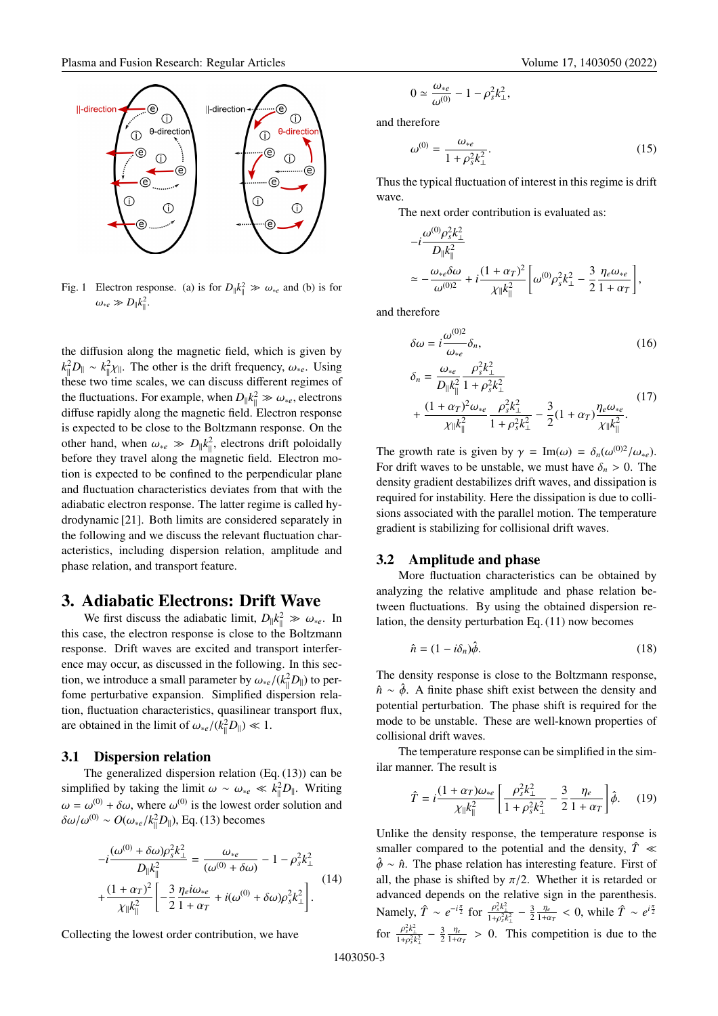

Fig. 1 Electron response. (a) is for  $D_{\parallel} k_{\parallel}^2 \gg \omega_{*e}$  and (b) is for  $\omega_{*e} \gg D_{\parallel} k_{\parallel}^2.$ 

the diffusion along the magnetic field, which is given by  $k_{\parallel}^{2}D_{\parallel} \sim k_{\parallel}^{2}\chi_{\parallel}$ . The other is the drift frequency,  $\omega_{*}e$ . Using these two time scales, we can discuss different regimes of these two time scales, we can discuss different regimes of the fluctuations. For example, when  $D_0 k_0^2 \gg \omega_{*e}$ , electrons<br>diffuse rapidly along the magnetic field. Flectron response diffuse rapidly along the magnetic field. Electron response is expected to be close to the Boltzmann response. On the other hand, when  $\omega_{*e} \gg D_{\parallel} k_{\parallel}^2$ , electrons drift poloidally before they travel along the magnetic field. Electron motion is expected to be confined to the perpendicular plane and fluctuation characteristics deviates from that with the adiabatic electron response. The latter regime is called hydrodynamic [21]. Both limits are considered separately in the following and we discuss the relevant fluctuation characteristics, including dispersion relation, amplitude and phase relation, and transport feature.

# **3. Adiabatic Electrons: Drift Wave**

We first discuss the adiabatic limit,  $D_{\parallel} k_{\parallel}^2 \gg \omega_{*}e$ . In this case, the electron response is close to the Boltzmann response. Drift waves are excited and transport interference may occur, as discussed in the following. In this section, we introduce a small parameter by  $\omega_{*e}/(k_{\parallel}^2 D_{\parallel})$  to per-<br>fome parturbative expension. Simplified diapersian rale fome perturbative expansion. Simplified dispersion relation, fluctuation characteristics, quasilinear transport flux, are obtained in the limit of  $\omega_{*e}/(k_{\parallel}^2 D_{\parallel}) \ll 1$ .

## **3.1 Dispersion relation**

The generalized dispersion relation (Eq. (13)) can be simplified by taking the limit  $\omega \sim \omega_{*e} \ll k_{\parallel}^2 D_{\parallel}$ . Writing  $\omega = \omega^{(0)} + \delta \omega$ , where  $\omega^{(0)}$  is the lowest order solution and  $δω/ω<sup>(0)</sup> ∼ O(ω<sub>*e</sub>/k<sub>||</sub><sup>2</sup>D<sub>||</sub>), Eq. (13) becomes$ 

$$
-i\frac{(\omega^{(0)} + \delta\omega)\rho_s^2 k_{\perp}^2}{D_{\parallel}k_{\parallel}^2} = \frac{\omega_{*e}}{(\omega^{(0)} + \delta\omega)} - 1 - \rho_s^2 k_{\perp}^2
$$
  
+ 
$$
\frac{(1 + \alpha_T)^2}{\chi_{\parallel}k_{\parallel}^2} \left[ -\frac{3}{2} \frac{\eta_e i \omega_{*e}}{1 + \alpha_T} + i(\omega^{(0)} + \delta\omega)\rho_s^2 k_{\perp}^2 \right].
$$
 (14)

Collecting the lowest order contribution, we have

$$
0 \simeq \frac{\omega_{*e}}{\omega^{(0)}} - 1 - \rho_s^2 k_\perp^2,
$$

and therefore

$$
\omega^{(0)} = \frac{\omega_{*e}}{1 + \rho_s^2 k_\perp^2}.\tag{15}
$$

Thus the typical fluctuation of interest in this regime is drift wave.

The next order contribution is evaluated as:

$$
-i\frac{\omega^{(0)}\rho_s^2 k_{\perp}^2}{D_{\parallel}k_{\parallel}^2} \approx -\frac{\omega_{*e}\delta\omega}{\omega^{(0)2}} + i\frac{(1+\alpha_T)^2}{\chi_{\parallel}k_{\parallel}^2} \left[\omega^{(0)}\rho_s^2 k_{\perp}^2 - \frac{3}{2}\frac{\eta_e\omega_{*e}}{1+\alpha_T}\right],
$$

and therefore

$$
\delta\omega = i \frac{\omega^{(0)2}}{\omega_{*e}} \delta_n,
$$
\n
$$
\delta_n = \frac{\omega_{*e}}{D_{\parallel}k_{\parallel}^2} \frac{\rho_s^2 k_{\perp}^2}{1 + \rho_s^2 k_{\perp}^2} + \frac{(1 + \alpha_T)^2 \omega_{*e}}{\chi_{\parallel}k_{\parallel}^2} \frac{\rho_s^2 k_{\perp}^2}{1 + \rho_s^2 k_{\perp}^2} - \frac{3}{2}(1 + \alpha_T) \frac{\eta_e \omega_{*e}}{\chi_{\parallel}k_{\parallel}^2}.
$$
\n(17)

The growth rate is given by  $\gamma = \text{Im}(\omega) = \delta_n(\omega^{(0)2}/\omega_{*e})$ . For drift waves to be unstable, we must have  $\delta_n > 0$ . The density gradient destabilizes drift waves, and dissipation is required for instability. Here the dissipation is due to collisions associated with the parallel motion. The temperature gradient is stabilizing for collisional drift waves.

## **3.2 Amplitude and phase**

More fluctuation characteristics can be obtained by analyzing the relative amplitude and phase relation between fluctuations. By using the obtained dispersion relation, the density perturbation Eq. (11) now becomes

$$
\hat{n} = (1 - i\delta_n)\hat{\phi}.\tag{18}
$$

The density response is close to the Boltzmann response,  $\hat{n} \sim \hat{\phi}$ . A finite phase shift exist between the density and potential perturbation. The phase shift is required for the mode to be unstable. These are well-known properties of collisional drift waves.

The temperature response can be simplified in the similar manner. The result is

$$
\hat{T} = i \frac{(1 + \alpha_T)\omega_{*e}}{\chi_{\parallel}k_{\parallel}^2} \left[ \frac{\rho_s^2 k_{\perp}^2}{1 + \rho_s^2 k_{\perp}^2} - \frac{3}{2} \frac{\eta_e}{1 + \alpha_T} \right] \hat{\phi}.
$$
 (19)

Unlike the density response, the temperature response is smaller compared to the potential and the density,  $\hat{T} \ll 1$  $\hat{\phi} \sim \hat{n}$ . The phase relation has interesting feature. First of all, the phase is shifted by  $\pi/2$ . Whether it is retarded or advanced depends on the relative sign in the parenthesis. Namely,  $\hat{T} \sim e^{-i\frac{\pi}{2}}$  for  $\frac{\rho_s^2 k_\perp^2}{1 + \rho_s^2 k_\perp^2} - \frac{3}{2} \frac{\eta_e}{1 + \alpha_T} < 0$ , while  $\hat{T} \sim e^{i\frac{\pi}{2}}$ for  $\frac{\rho_s^2 k_\perp^2}{1 + \rho_s^2 k_\perp^2} - \frac{3}{2} \frac{\eta_e}{1 + \alpha_T} > 0$ . This competition is due to the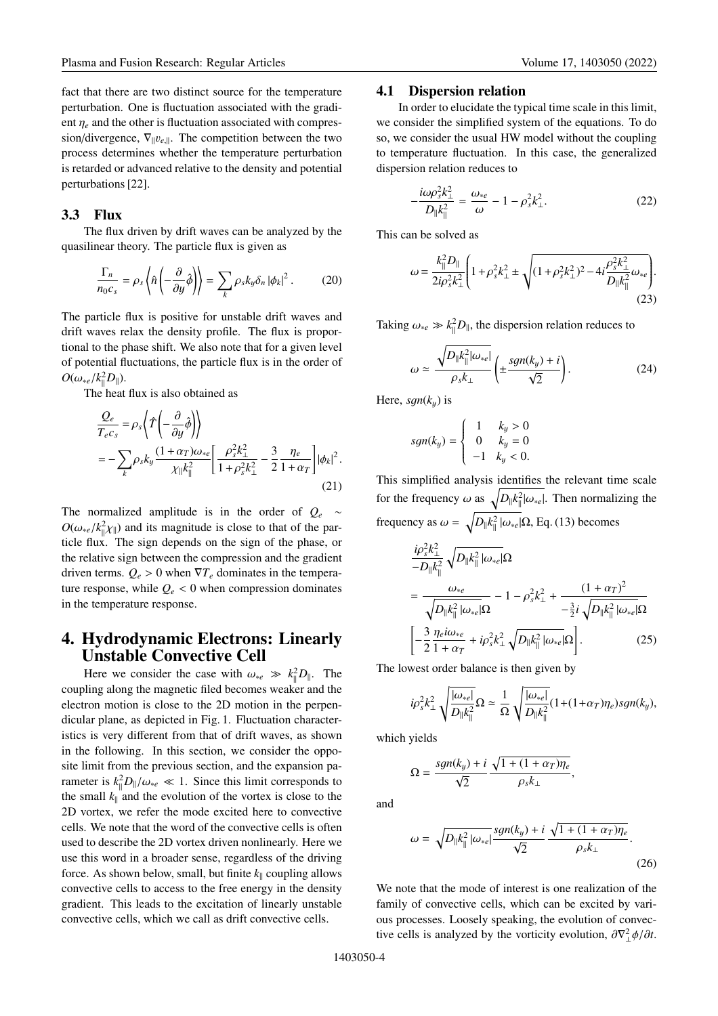fact that there are two distinct source for the temperature perturbation. One is fluctuation associated with the gradient  $\eta_e$  and the other is fluctuation associated with compression/divergence,  $\nabla_{\parallel}v_{e,\parallel}$ . The competition between the two process determines whether the temperature perturbation is retarded or advanced relative to the density and potential perturbations [22].

#### **3.3 Flux**

The flux driven by drift waves can be analyzed by the quasilinear theory. The particle flux is given as

$$
\frac{\Gamma_n}{n_0 c_s} = \rho_s \left\langle \hat{n} \left( -\frac{\partial}{\partial y} \hat{\phi} \right) \right\rangle = \sum_k \rho_s k_y \delta_n |\phi_k|^2. \tag{20}
$$

The particle flux is positive for unstable drift waves and drift waves relax the density profile. The flux is proportional to the phase shift. We also note that for a given level of potential fluctuations, the particle flux is in the order of  $O(\omega_{*e}/k_{\parallel}^2 D_{\parallel}).$ <br>The best

The heat flux is also obtained as

$$
\frac{Q_e}{T_e c_s} = \rho_s \left\langle \hat{T} \left( -\frac{\partial}{\partial y} \hat{\phi} \right) \right\rangle
$$
  
= 
$$
-\sum_k \rho_s k_y \frac{(1+\alpha_T)\omega_{*e}}{\chi_{\parallel} k_{\parallel}^2} \left[ \frac{\rho_s^2 k_{\perp}^2}{1 + \rho_s^2 k_{\perp}^2} - \frac{3}{2} \frac{\eta_e}{1 + \alpha_T} \right] |\phi_k|^2.
$$
 (21)

The normalized amplitude is in the order of *Qe* ∼  $O(\omega_{*e}/k_{\parallel}^2 \chi_{\parallel})$  and its magnitude is close to that of the particle flux. The sign depends on the sign of the phase, or the relative sign between the compression and the gradient driven terms.  $Q_e > 0$  when  $\nabla T_e$  dominates in the temperature response, while  $Q_e < 0$  when compression dominates in the temperature response.

# **4. Hydrodynamic Electrons: Linearly Unstable Convective Cell**

Here we consider the case with  $\omega_{*e} \gg k_{\parallel}^2 D_{\parallel}$ . The coupling along the magnetic filed becomes weaker and the electron motion is close to the 2D motion in the perpendicular plane, as depicted in Fig. 1. Fluctuation characteristics is very different from that of drift waves, as shown in the following. In this section, we consider the opposite limit from the previous section, and the expansion parameter is  $k_{\parallel}^{2}D_{\parallel}/\omega_{*}e \ll 1$ . Since this limit corresponds to the small  $k_{\parallel}$  and the avalution of the vartex is close to the the small  $k_{\parallel}$  and the evolution of the vortex is close to the 2D vortex, we refer the mode excited here to convective cells. We note that the word of the convective cells is often used to describe the 2D vortex driven nonlinearly. Here we use this word in a broader sense, regardless of the driving force. As shown below, small, but finite  $k_{\parallel}$  coupling allows convective cells to access to the free energy in the density gradient. This leads to the excitation of linearly unstable convective cells, which we call as drift convective cells.

#### **4.1 Dispersion relation**

In order to elucidate the typical time scale in this limit, we consider the simplified system of the equations. To do so, we consider the usual HW model without the coupling to temperature fluctuation. In this case, the generalized dispersion relation reduces to

$$
-\frac{i\omega\rho_s^2 k_\perp^2}{D_{\parallel}k_{\parallel}^2} = \frac{\omega_{*e}}{\omega} - 1 - \rho_s^2 k_\perp^2.
$$
 (22)

This can be solved as

$$
\omega = \frac{k_{\parallel}^2 D_{\parallel}}{2i\rho_s^2 k_{\perp}^2} \left( 1 + \rho_s^2 k_{\perp}^2 \pm \sqrt{(1 + \rho_s^2 k_{\perp}^2)^2 - 4i \frac{\rho_s^2 k_{\perp}^2}{D_{\parallel} k_{\parallel}^2} \omega_{*e}} \right). \tag{23}
$$

Taking  $\omega_{*e} \gg k_{\parallel}^2 D_{\parallel}$ , the dispersion relation reduces to

$$
\omega \simeq \frac{\sqrt{D_{\parallel}k_{\parallel}^2|\omega_{*e}|}}{\rho_s k_{\perp}} \left(\pm \frac{sgn(k_y) + i}{\sqrt{2}}\right). \tag{24}
$$

Here,  $sgn(k_y)$  is

$$
sgn(k_y) = \begin{cases} 1 & k_y > 0 \\ 0 & k_y = 0 \\ -1 & k_y < 0. \end{cases}
$$

This simplified analysis identifies the relevant time scale for the frequency  $\omega$  as  $\sqrt{D_{\parallel}k_{\parallel}^2|\omega_{\ast}e|}$ . Then normalizing the frequency as  $\omega = \sqrt{D_{\parallel} k_{\parallel}^2 |\omega_{\ast}e|} \Omega$ , Eq. (13) becomes

$$
\frac{i\rho_s^2 k_\perp^2}{-D_{\parallel}k_{\parallel}^2} \sqrt{D_{\parallel}k_{\parallel}^2 |\omega_{*e}|}\Omega
$$
\n
$$
= \frac{\omega_{*e}}{\sqrt{D_{\parallel}k_{\parallel}^2 |\omega_{*e}|}\Omega} - 1 - \rho_s^2 k_\perp^2 + \frac{(1 + \alpha_T)^2}{-\frac{3}{2}i\sqrt{D_{\parallel}k_{\parallel}^2 |\omega_{*e}|}\Omega}
$$
\n
$$
\left[-\frac{3}{2}\frac{\eta_e i \omega_{*e}}{1 + \alpha_T} + i\rho_s^2 k_\perp^2 \sqrt{D_{\parallel}k_{\parallel}^2 |\omega_{*e}|\Omega}\right].
$$
\n(25)

The lowest order balance is then given by

$$
i\rho_s^2 k_\perp^2 \sqrt{\frac{|\omega_{*e}|}{D_\parallel k_\parallel^2}} \Omega \simeq \frac{1}{\Omega} \sqrt{\frac{|\omega_{*e}|}{D_\parallel k_\parallel^2}} (1 + (1 + \alpha_T)\eta_e) sgn(k_y),
$$

which yields

$$
\Omega = \frac{sgn(k_y) + i \sqrt{1 + (1 + \alpha_T)\eta_e}}{\sqrt{2}},
$$

and

$$
\omega = \sqrt{D_{\parallel}k_{\parallel}^2 |\omega_{\ast e}|} \frac{sgn(k_y) + i \sqrt{1 + (1 + \alpha_T)\eta_e}}{\sqrt{2}}.
$$
\n(26)

We note that the mode of interest is one realization of the family of convective cells, which can be excited by various processes. Loosely speaking, the evolution of convective cells is analyzed by the vorticity evolution,  $\frac{\partial \nabla^2_{\perp} \phi}{\partial t}$ .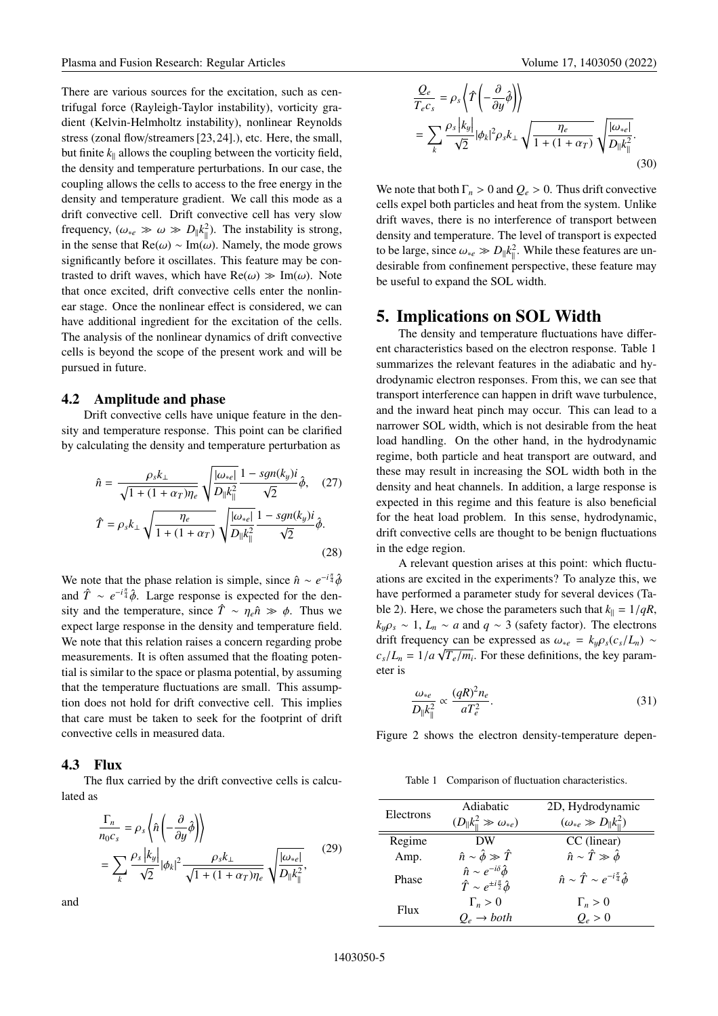There are various sources for the excitation, such as centrifugal force (Rayleigh-Taylor instability), vorticity gradient (Kelvin-Helmholtz instability), nonlinear Reynolds stress (zonal flow/streamers [23, 24].), etc. Here, the small, but finite  $k_{\parallel}$  allows the coupling between the vorticity field, the density and temperature perturbations. In our case, the coupling allows the cells to access to the free energy in the density and temperature gradient. We call this mode as a drift convective cell. Drift convective cell has very slow frequency,  $(\omega_{*e} \gg \omega \gg D_{\parallel} k_{\parallel}^2)$ . The instability is strong, in the sense that Re(ω) ~ Im(ω). Namely, the mode grows significantly before it oscillates. This feature may be contrasted to drift waves, which have  $\text{Re}(\omega) \gg \text{Im}(\omega)$ . Note that once excited, drift convective cells enter the nonlinear stage. Once the nonlinear effect is considered, we can have additional ingredient for the excitation of the cells. The analysis of the nonlinear dynamics of drift convective cells is beyond the scope of the present work and will be pursued in future.

#### **4.2 Amplitude and phase**

Drift convective cells have unique feature in the density and temperature response. This point can be clarified by calculating the density and temperature perturbation as

$$
\hat{n} = \frac{\rho_s k_{\perp}}{\sqrt{1 + (1 + \alpha_T)\eta_e}} \sqrt{\frac{|\omega_{\ast e}|}{D_{\parallel}k_{\parallel}^2}} \frac{1 - sgn(k_y)i}{\sqrt{2}} \hat{\phi}, \quad (27)
$$

$$
\hat{T} = \rho_s k_{\perp} \sqrt{\frac{\eta_e}{1 + (1 + \alpha_T)}} \sqrt{\frac{|\omega_{\ast e}|}{D_{\parallel}k_{\parallel}^2}} \frac{1 - sgn(k_y)i}{\sqrt{2}} \hat{\phi}.
$$
\n(28)

We note that the phase relation is simple, since  $\hat{n} \sim e^{-i\frac{\pi}{4}}\hat{\phi}$ <br>and  $\hat{T} = e^{-i\frac{\pi}{4}}\hat{\phi}$ . Large reponse is expected for the dan and  $\hat{T} \sim e^{-i\frac{\pi}{4}}\hat{\phi}$ . Large response is expected for the den-<br>sity and the temperature since  $\hat{T} \approx n \hat{\theta} \gg \phi$ . Thus we sity and the temperature, since  $\hat{T} \sim \eta_e \hat{n} \gg \phi$ . Thus we expect large response in the density and temperature field expect large response in the density and temperature field. We note that this relation raises a concern regarding probe measurements. It is often assumed that the floating potential is similar to the space or plasma potential, by assuming that the temperature fluctuations are small. This assumption does not hold for drift convective cell. This implies that care must be taken to seek for the footprint of drift convective cells in measured data.

## **4.3 Flux**

The flux carried by the drift convective cells is calculated as

$$
\frac{\Gamma_n}{n_0 c_s} = \rho_s \left\langle \hat{n} \left( -\frac{\partial}{\partial y} \hat{\phi} \right) \right\rangle
$$
\n
$$
= \sum_k \frac{\rho_s |k_y|}{\sqrt{2}} |\phi_k|^2 \frac{\rho_s k_\perp}{\sqrt{1 + (1 + \alpha_T)\eta_e}} \sqrt{\frac{|\omega_{\ast e}|}{D_{\parallel} k_\parallel^2}},
$$
\n(29)

and

$$
\frac{Q_e}{T_e c_s} = \rho_s \left\langle \hat{T} \left( -\frac{\partial}{\partial y} \hat{\phi} \right) \right\rangle
$$
  
= 
$$
\sum_k \frac{\rho_s |k_y|}{\sqrt{2}} |\phi_k|^2 \rho_s k_\perp \sqrt{\frac{\eta_e}{1 + (1 + \alpha_T)}} \sqrt{\frac{|\omega_{*e}|}{D_{\parallel} k_{\parallel}^2}}.
$$
(30)

We note that both  $\Gamma_n > 0$  and  $Q_e > 0$ . Thus drift convective cells expel both particles and heat from the system. Unlike drift waves, there is no interference of transport between density and temperature. The level of transport is expected to be large, since  $\omega_{*e} \gg D_{\parallel} k_{\parallel}^2$ . While these features are un-<br>desirable from confinament perspective, these feature may desirable from confinement perspective, these feature may be useful to expand the SOL width.

## **5. Implications on SOL Width**

The density and temperature fluctuations have different characteristics based on the electron response. Table 1 summarizes the relevant features in the adiabatic and hydrodynamic electron responses. From this, we can see that transport interference can happen in drift wave turbulence, and the inward heat pinch may occur. This can lead to a narrower SOL width, which is not desirable from the heat load handling. On the other hand, in the hydrodynamic regime, both particle and heat transport are outward, and these may result in increasing the SOL width both in the density and heat channels. In addition, a large response is expected in this regime and this feature is also beneficial for the heat load problem. In this sense, hydrodynamic, drift convective cells are thought to be benign fluctuations in the edge region.

A relevant question arises at this point: which fluctuations are excited in the experiments? To analyze this, we have performed a parameter study for several devices (Table 2). Here, we chose the parameters such that  $k_{\parallel} = 1/qR$ ,  $k_y \rho_s \sim 1$ ,  $L_n \sim a$  and  $q \sim 3$  (safety factor). The electrons drift frequency can be expressed as  $\omega_{*e} = k_y \rho_s (c_s/L_n)$  ∼  $c_s/L_n = 1/a \sqrt{T_e/m_i}$ . For these definitions, the key parameter is eter is

$$
\frac{\omega_{*e}}{D_{\parallel}k_{\parallel}^2} \propto \frac{(qR)^2n_e}{aT_e^2}.
$$
\n(31)

Figure 2 shows the electron density-temperature depen-

Table 1 Comparison of fluctuation characteristics.

| Electrons | Adiabatic                                                                                   | 2D, Hydrodynamic                                           |  |
|-----------|---------------------------------------------------------------------------------------------|------------------------------------------------------------|--|
|           | $(D_{\parallel}k_{\parallel}^2 \gg \omega_{*e})$                                            | $(\omega_{*e} \gg D_{\parallel} k_{\parallel}^2)$          |  |
| Regime    | DW                                                                                          | CC (linear)                                                |  |
| Amp.      | $\hat{n} \sim \hat{\phi} \gg \hat{T}$                                                       | $\hat{n} \sim \hat{T} \gg \hat{\phi}$                      |  |
| Phase     | $\hat{n} \sim e^{-i\delta} \hat{\phi}$<br>$\hat{T} \sim e^{\pm i \frac{\pi}{2}} \hat{\phi}$ | $\hat{n} \sim \hat{T} \sim e^{-i\frac{\pi}{4}} \hat{\phi}$ |  |
| Flux      | $\Gamma_n > 0$                                                                              | $\Gamma_n > 0$                                             |  |
|           | $O_e \rightarrow both$                                                                      | $O_e > 0$                                                  |  |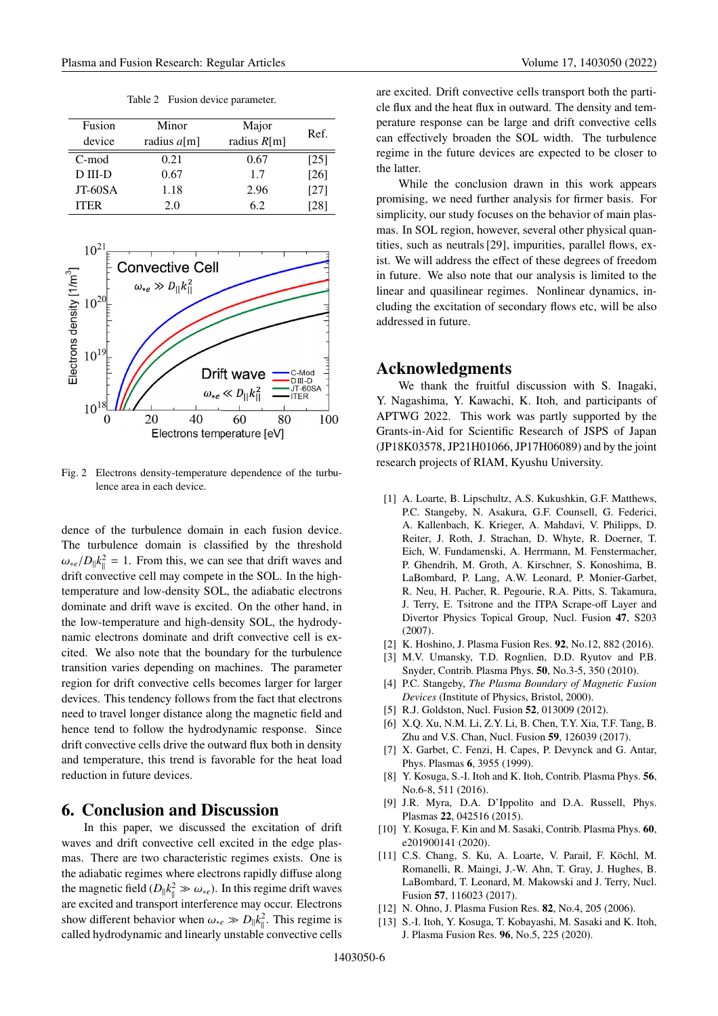Table 2 Fusion device parameter.

| Fusion      | Minor         | Major         |      |
|-------------|---------------|---------------|------|
| device      | radius $a[m]$ | radius $R[m]$ | Ref. |
| C-mod       | 0.21          | 0.67          | [25] |
| $D$ III-D   | 0.67          | 1.7           | [26] |
| JT-60SA     | 1.18          | 2.96          | [27] |
| <b>ITER</b> | 2.0           | 62            | 281  |



Fig. 2 Electrons density-temperature dependence of the turbulence area in each device.

dence of the turbulence domain in each fusion device. The turbulence domain is classified by the threshold  $\omega_{*e}/D_{\parallel}k_{\parallel}^2 = 1$ . From this, we can see that drift waves and drift convective call may compate in the SOL. In the high drift convective cell may compete in the SOL. In the hightemperature and low-density SOL, the adiabatic electrons dominate and drift wave is excited. On the other hand, in the low-temperature and high-density SOL, the hydrodynamic electrons dominate and drift convective cell is excited. We also note that the boundary for the turbulence transition varies depending on machines. The parameter region for drift convective cells becomes larger for larger devices. This tendency follows from the fact that electrons need to travel longer distance along the magnetic field and hence tend to follow the hydrodynamic response. Since drift convective cells drive the outward flux both in density and temperature, this trend is favorable for the heat load reduction in future devices.

## **6. Conclusion and Discussion**

In this paper, we discussed the excitation of drift waves and drift convective cell excited in the edge plasmas. There are two characteristic regimes exists. One is the adiabatic regimes where electrons rapidly diffuse along the magnetic field  $(D_{\parallel}k_{\parallel}^2 \gg \omega_{*e})$ . In this regime drift waves are excited and transport interference may occur. Electrons show different behavior when  $\omega_{*e} \gg D_{\parallel} k_{\parallel}^2$ . This regime is called by reduced in a single interval in a single convective called called hydrodynamic and linearly unstable convective cells are excited. Drift convective cells transport both the particle flux and the heat flux in outward. The density and temperature response can be large and drift convective cells can effectively broaden the SOL width. The turbulence regime in the future devices are expected to be closer to the latter.

While the conclusion drawn in this work appears promising, we need further analysis for firmer basis. For simplicity, our study focuses on the behavior of main plasmas. In SOL region, however, several other physical quantities, such as neutrals [29], impurities, parallel flows, exist. We will address the effect of these degrees of freedom in future. We also note that our analysis is limited to the linear and quasilinear regimes. Nonlinear dynamics, including the excitation of secondary flows etc, will be also addressed in future.

## **Acknowledgments**

We thank the fruitful discussion with S. Inagaki, Y. Nagashima, Y. Kawachi, K. Itoh, and participants of APTWG 2022. This work was partly supported by the Grants-in-Aid for Scientific Research of JSPS of Japan (JP18K03578, JP21H01066, JP17H06089) and by the joint research projects of RIAM, Kyushu University.

- [1] A. Loarte, B. Lipschultz, A.S. Kukushkin, G.F. Matthews, P.C. Stangeby, N. Asakura, G.F. Counsell, G. Federici, A. Kallenbach, K. Krieger, A. Mahdavi, V. Philipps, D. Reiter, J. Roth, J. Strachan, D. Whyte, R. Doerner, T. Eich, W. Fundamenski, A. Herrmann, M. Fenstermacher, P. Ghendrih, M. Groth, A. Kirschner, S. Konoshima, B. LaBombard, P. Lang, A.W. Leonard, P. Monier-Garbet, R. Neu, H. Pacher, R. Pegourie, R.A. Pitts, S. Takamura, J. Terry, E. Tsitrone and the ITPA Scrape-off Layer and Divertor Physics Topical Group, Nucl. Fusion **47**, S203 (2007).
- [2] K. Hoshino, J. Plasma Fusion Res. **92**, No.12, 882 (2016).
- [3] M.V. Umansky, T.D. Rognlien, D.D. Ryutov and P.B. Snyder, Contrib. Plasma Phys. **50**, No.3-5, 350 (2010).
- [4] P.C. Stangeby, *The Plasma Boundary of Magnetic Fusion Devices* (Institute of Physics, Bristol, 2000).
- [5] R.J. Goldston, Nucl. Fusion **52**, 013009 (2012).
- [6] X.Q. Xu, N.M. Li, Z.Y. Li, B. Chen, T.Y. Xia, T.F. Tang, B. Zhu and V.S. Chan, Nucl. Fusion **59**, 126039 (2017).
- [7] X. Garbet, C. Fenzi, H. Capes, P. Devynck and G. Antar, Phys. Plasmas **6**, 3955 (1999).
- [8] Y. Kosuga, S.-I. Itoh and K. Itoh, Contrib. Plasma Phys. **56**, No.6-8, 511 (2016).
- [9] J.R. Myra, D.A. D'Ippolito and D.A. Russell, Phys. Plasmas **22**, 042516 (2015).
- [10] Y. Kosuga, F. Kin and M. Sasaki, Contrib. Plasma Phys. **60**, e201900141 (2020).
- [11] C.S. Chang, S. Ku, A. Loarte, V. Parail, F. Köchl, M. Romanelli, R. Maingi, J.-W. Ahn, T. Gray, J. Hughes, B. LaBombard, T. Leonard, M. Makowski and J. Terry, Nucl. Fusion **57**, 116023 (2017).
- [12] N. Ohno, J. Plasma Fusion Res. **82**, No.4, 205 (2006).
- [13] S.-I. Itoh, Y. Kosuga, T. Kobayashi, M. Sasaki and K. Itoh, J. Plasma Fusion Res. **96**, No.5, 225 (2020).